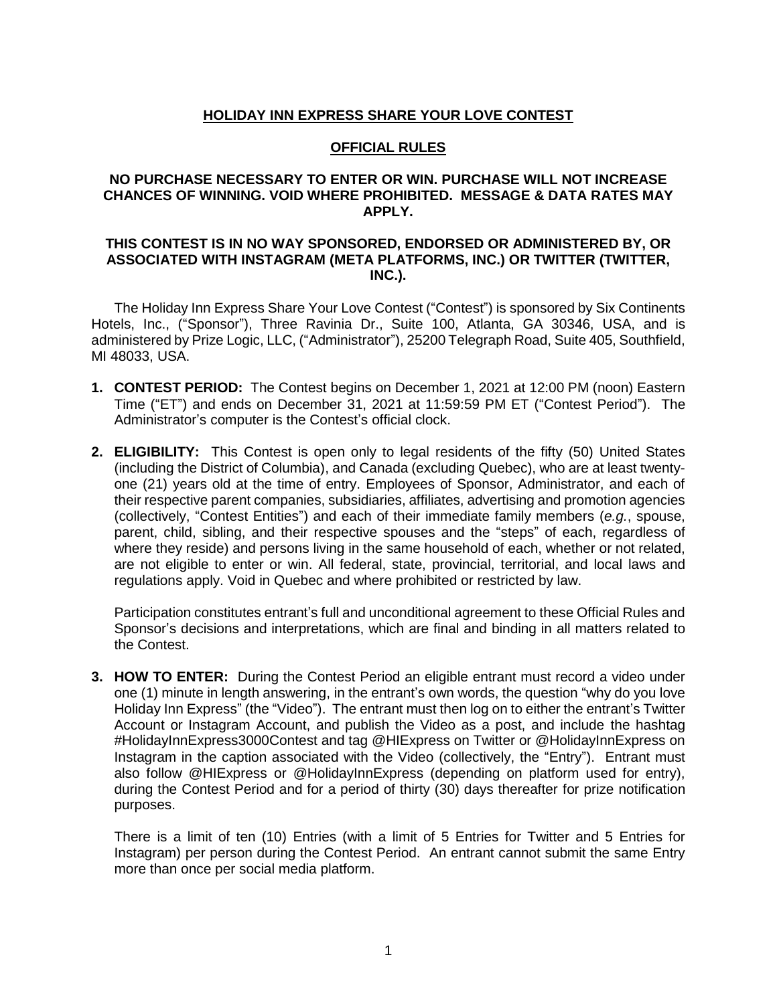## **HOLIDAY INN EXPRESS SHARE YOUR LOVE CONTEST**

#### **OFFICIAL RULES**

### **NO PURCHASE NECESSARY TO ENTER OR WIN. PURCHASE WILL NOT INCREASE CHANCES OF WINNING. VOID WHERE PROHIBITED. MESSAGE & DATA RATES MAY APPLY.**

#### **THIS CONTEST IS IN NO WAY SPONSORED, ENDORSED OR ADMINISTERED BY, OR ASSOCIATED WITH INSTAGRAM (META PLATFORMS, INC.) OR TWITTER (TWITTER, INC.).**

The Holiday Inn Express Share Your Love Contest ("Contest") is sponsored by Six Continents Hotels, Inc., ("Sponsor"), Three Ravinia Dr., Suite 100, Atlanta, GA 30346, USA, and is administered by Prize Logic, LLC, ("Administrator"), 25200 Telegraph Road, Suite 405, Southfield, MI 48033, USA.

- **1. CONTEST PERIOD:** The Contest begins on December 1, 2021 at 12:00 PM (noon) Eastern Time ("ET") and ends on December 31, 2021 at 11:59:59 PM ET ("Contest Period"). The Administrator's computer is the Contest's official clock.
- **2. ELIGIBILITY:** This Contest is open only to legal residents of the fifty (50) United States (including the District of Columbia), and Canada (excluding Quebec), who are at least twentyone (21) years old at the time of entry. Employees of Sponsor, Administrator, and each of their respective parent companies, subsidiaries, affiliates, advertising and promotion agencies (collectively, "Contest Entities") and each of their immediate family members (*e.g.*, spouse, parent, child, sibling, and their respective spouses and the "steps" of each, regardless of where they reside) and persons living in the same household of each, whether or not related, are not eligible to enter or win. All federal, state, provincial, territorial, and local laws and regulations apply. Void in Quebec and where prohibited or restricted by law.

Participation constitutes entrant's full and unconditional agreement to these Official Rules and Sponsor's decisions and interpretations, which are final and binding in all matters related to the Contest.

**3. HOW TO ENTER:** During the Contest Period an eligible entrant must record a video under one (1) minute in length answering, in the entrant's own words, the question "why do you love Holiday Inn Express" (the "Video"). The entrant must then log on to either the entrant's Twitter Account or Instagram Account, and publish the Video as a post, and include the hashtag #HolidayInnExpress3000Contest and tag @HIExpress on Twitter or @HolidayInnExpress on Instagram in the caption associated with the Video (collectively, the "Entry"). Entrant must also follow @HIExpress or @HolidayInnExpress (depending on platform used for entry), during the Contest Period and for a period of thirty (30) days thereafter for prize notification purposes.

There is a limit of ten (10) Entries (with a limit of 5 Entries for Twitter and 5 Entries for Instagram) per person during the Contest Period. An entrant cannot submit the same Entry more than once per social media platform.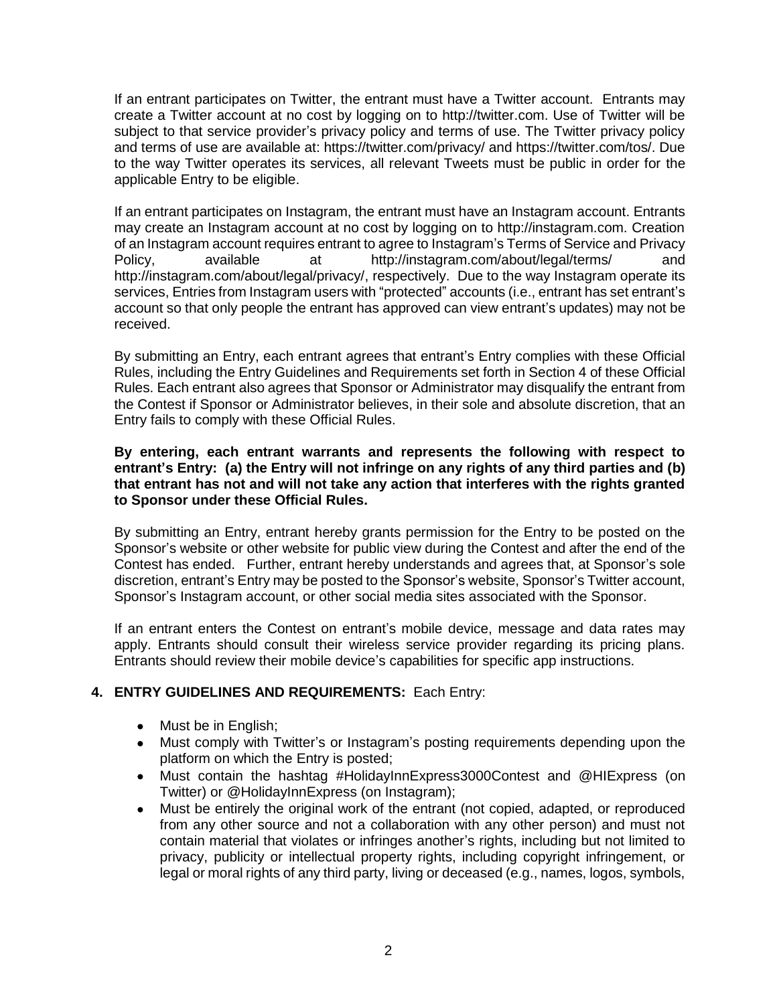If an entrant participates on Twitter, the entrant must have a Twitter account. Entrants may create a Twitter account at no cost by logging on to http://twitter.com. Use of Twitter will be subject to that service provider's privacy policy and terms of use. The Twitter privacy policy and terms of use are available at: https://twitter.com/privacy/ and https://twitter.com/tos/. Due to the way Twitter operates its services, all relevant Tweets must be public in order for the applicable Entry to be eligible.

If an entrant participates on Instagram, the entrant must have an Instagram account. Entrants may create an Instagram account at no cost by logging on to http://instagram.com. Creation of an Instagram account requires entrant to agree to Instagram's Terms of Service and Privacy Policy, available at http://instagram.com/about/legal/terms/ and http://instagram.com/about/legal/privacy/, respectively. Due to the way Instagram operate its services, Entries from Instagram users with "protected" accounts (i.e., entrant has set entrant's account so that only people the entrant has approved can view entrant's updates) may not be received.

By submitting an Entry, each entrant agrees that entrant's Entry complies with these Official Rules, including the Entry Guidelines and Requirements set forth in Section 4 of these Official Rules. Each entrant also agrees that Sponsor or Administrator may disqualify the entrant from the Contest if Sponsor or Administrator believes, in their sole and absolute discretion, that an Entry fails to comply with these Official Rules.

### **By entering, each entrant warrants and represents the following with respect to entrant's Entry: (a) the Entry will not infringe on any rights of any third parties and (b) that entrant has not and will not take any action that interferes with the rights granted to Sponsor under these Official Rules.**

By submitting an Entry, entrant hereby grants permission for the Entry to be posted on the Sponsor's website or other website for public view during the Contest and after the end of the Contest has ended. Further, entrant hereby understands and agrees that, at Sponsor's sole discretion, entrant's Entry may be posted to the Sponsor's website, Sponsor's Twitter account, Sponsor's Instagram account, or other social media sites associated with the Sponsor.

If an entrant enters the Contest on entrant's mobile device, message and data rates may apply. Entrants should consult their wireless service provider regarding its pricing plans. Entrants should review their mobile device's capabilities for specific app instructions.

# **4. ENTRY GUIDELINES AND REQUIREMENTS:** Each Entry:

- Must be in English;
- Must comply with Twitter's or Instagram's posting requirements depending upon the platform on which the Entry is posted;
- Must contain the hashtag #HolidayInnExpress3000Contest and @HIExpress (on Twitter) or @HolidayInnExpress (on Instagram);
- Must be entirely the original work of the entrant (not copied, adapted, or reproduced from any other source and not a collaboration with any other person) and must not contain material that violates or infringes another's rights, including but not limited to privacy, publicity or intellectual property rights, including copyright infringement, or legal or moral rights of any third party, living or deceased (e.g., names, logos, symbols,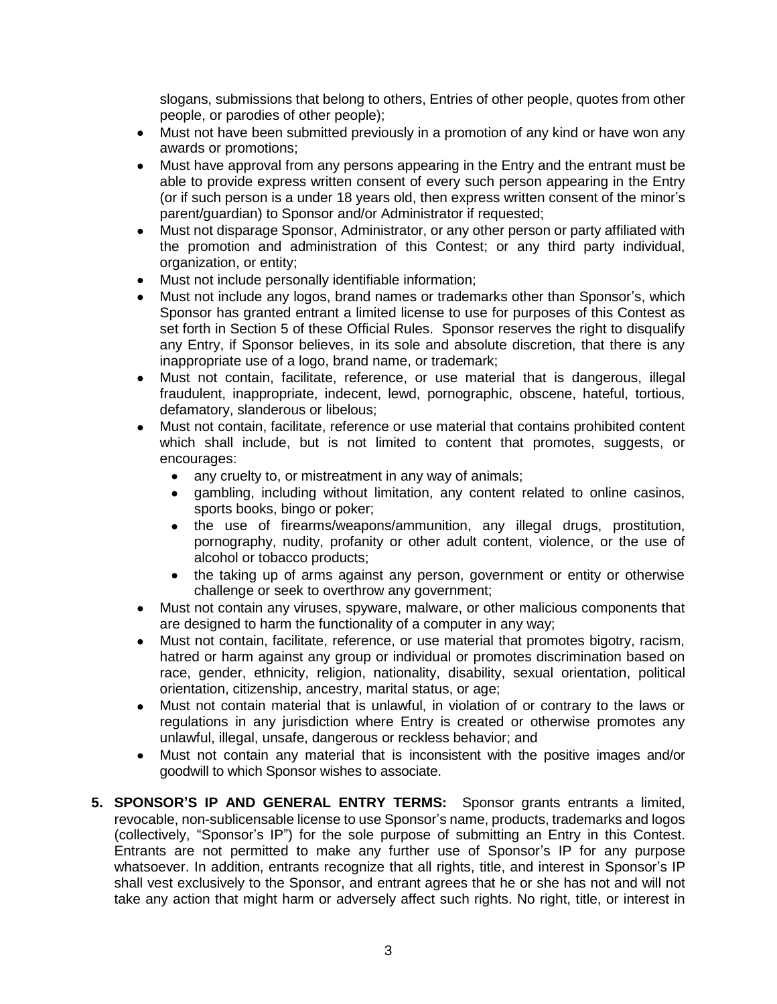slogans, submissions that belong to others, Entries of other people, quotes from other people, or parodies of other people);

- Must not have been submitted previously in a promotion of any kind or have won any awards or promotions;
- Must have approval from any persons appearing in the Entry and the entrant must be able to provide express written consent of every such person appearing in the Entry (or if such person is a under 18 years old, then express written consent of the minor's parent/guardian) to Sponsor and/or Administrator if requested;
- Must not disparage Sponsor, Administrator, or any other person or party affiliated with the promotion and administration of this Contest; or any third party individual, organization, or entity;
- Must not include personally identifiable information;
- Must not include any logos, brand names or trademarks other than Sponsor's, which Sponsor has granted entrant a limited license to use for purposes of this Contest as set forth in Section 5 of these Official Rules. Sponsor reserves the right to disqualify any Entry, if Sponsor believes, in its sole and absolute discretion, that there is any inappropriate use of a logo, brand name, or trademark;
- Must not contain, facilitate, reference, or use material that is dangerous, illegal fraudulent, inappropriate, indecent, lewd, pornographic, obscene, hateful, tortious, defamatory, slanderous or libelous;
- Must not contain, facilitate, reference or use material that contains prohibited content which shall include, but is not limited to content that promotes, suggests, or encourages:
	- any cruelty to, or mistreatment in any way of animals;
	- gambling, including without limitation, any content related to online casinos, sports books, bingo or poker;
	- the use of firearms/weapons/ammunition, any illegal drugs, prostitution, pornography, nudity, profanity or other adult content, violence, or the use of alcohol or tobacco products;
	- the taking up of arms against any person, government or entity or otherwise challenge or seek to overthrow any government;
- Must not contain any viruses, spyware, malware, or other malicious components that are designed to harm the functionality of a computer in any way;
- Must not contain, facilitate, reference, or use material that promotes bigotry, racism, hatred or harm against any group or individual or promotes discrimination based on race, gender, ethnicity, religion, nationality, disability, sexual orientation, political orientation, citizenship, ancestry, marital status, or age;
- Must not contain material that is unlawful, in violation of or contrary to the laws or regulations in any jurisdiction where Entry is created or otherwise promotes any unlawful, illegal, unsafe, dangerous or reckless behavior; and
- Must not contain any material that is inconsistent with the positive images and/or goodwill to which Sponsor wishes to associate.
- **5. SPONSOR'S IP AND GENERAL ENTRY TERMS:** Sponsor grants entrants a limited, revocable, non-sublicensable license to use Sponsor's name, products, trademarks and logos (collectively, "Sponsor's IP") for the sole purpose of submitting an Entry in this Contest. Entrants are not permitted to make any further use of Sponsor's IP for any purpose whatsoever. In addition, entrants recognize that all rights, title, and interest in Sponsor's IP shall vest exclusively to the Sponsor, and entrant agrees that he or she has not and will not take any action that might harm or adversely affect such rights. No right, title, or interest in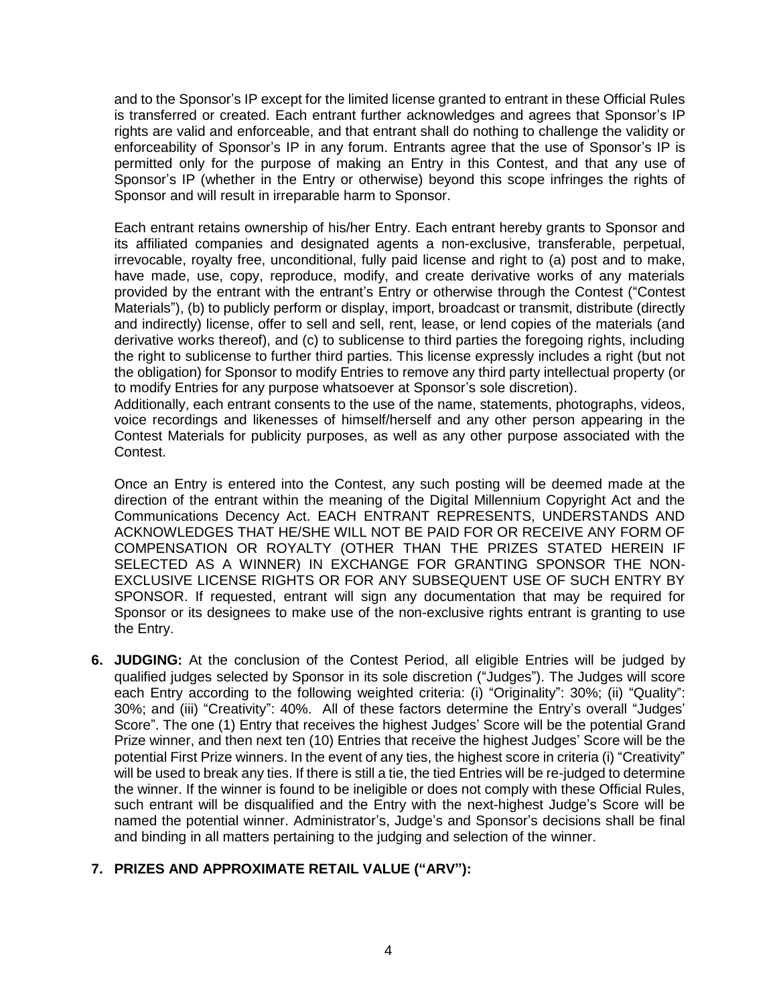and to the Sponsor's IP except for the limited license granted to entrant in these Official Rules is transferred or created. Each entrant further acknowledges and agrees that Sponsor's IP rights are valid and enforceable, and that entrant shall do nothing to challenge the validity or enforceability of Sponsor's IP in any forum. Entrants agree that the use of Sponsor's IP is permitted only for the purpose of making an Entry in this Contest, and that any use of Sponsor's IP (whether in the Entry or otherwise) beyond this scope infringes the rights of Sponsor and will result in irreparable harm to Sponsor.

Each entrant retains ownership of his/her Entry. Each entrant hereby grants to Sponsor and its affiliated companies and designated agents a non-exclusive, transferable, perpetual, irrevocable, royalty free, unconditional, fully paid license and right to (a) post and to make, have made, use, copy, reproduce, modify, and create derivative works of any materials provided by the entrant with the entrant's Entry or otherwise through the Contest ("Contest Materials"), (b) to publicly perform or display, import, broadcast or transmit, distribute (directly and indirectly) license, offer to sell and sell, rent, lease, or lend copies of the materials (and derivative works thereof), and (c) to sublicense to third parties the foregoing rights, including the right to sublicense to further third parties. This license expressly includes a right (but not the obligation) for Sponsor to modify Entries to remove any third party intellectual property (or to modify Entries for any purpose whatsoever at Sponsor's sole discretion).

Additionally, each entrant consents to the use of the name, statements, photographs, videos, voice recordings and likenesses of himself/herself and any other person appearing in the Contest Materials for publicity purposes, as well as any other purpose associated with the Contest.

Once an Entry is entered into the Contest, any such posting will be deemed made at the direction of the entrant within the meaning of the Digital Millennium Copyright Act and the Communications Decency Act. EACH ENTRANT REPRESENTS, UNDERSTANDS AND ACKNOWLEDGES THAT HE/SHE WILL NOT BE PAID FOR OR RECEIVE ANY FORM OF COMPENSATION OR ROYALTY (OTHER THAN THE PRIZES STATED HEREIN IF SELECTED AS A WINNER) IN EXCHANGE FOR GRANTING SPONSOR THE NON-EXCLUSIVE LICENSE RIGHTS OR FOR ANY SUBSEQUENT USE OF SUCH ENTRY BY SPONSOR. If requested, entrant will sign any documentation that may be required for Sponsor or its designees to make use of the non-exclusive rights entrant is granting to use the Entry.

**6. JUDGING:** At the conclusion of the Contest Period, all eligible Entries will be judged by qualified judges selected by Sponsor in its sole discretion ("Judges"). The Judges will score each Entry according to the following weighted criteria: (i) "Originality": 30%; (ii) "Quality": 30%; and (iii) "Creativity": 40%. All of these factors determine the Entry's overall "Judges' Score". The one (1) Entry that receives the highest Judges' Score will be the potential Grand Prize winner, and then next ten (10) Entries that receive the highest Judges' Score will be the potential First Prize winners. In the event of any ties, the highest score in criteria (i) "Creativity" will be used to break any ties. If there is still a tie, the tied Entries will be re-judged to determine the winner. If the winner is found to be ineligible or does not comply with these Official Rules, such entrant will be disqualified and the Entry with the next-highest Judge's Score will be named the potential winner. Administrator's, Judge's and Sponsor's decisions shall be final and binding in all matters pertaining to the judging and selection of the winner.

## **7. PRIZES AND APPROXIMATE RETAIL VALUE ("ARV"):**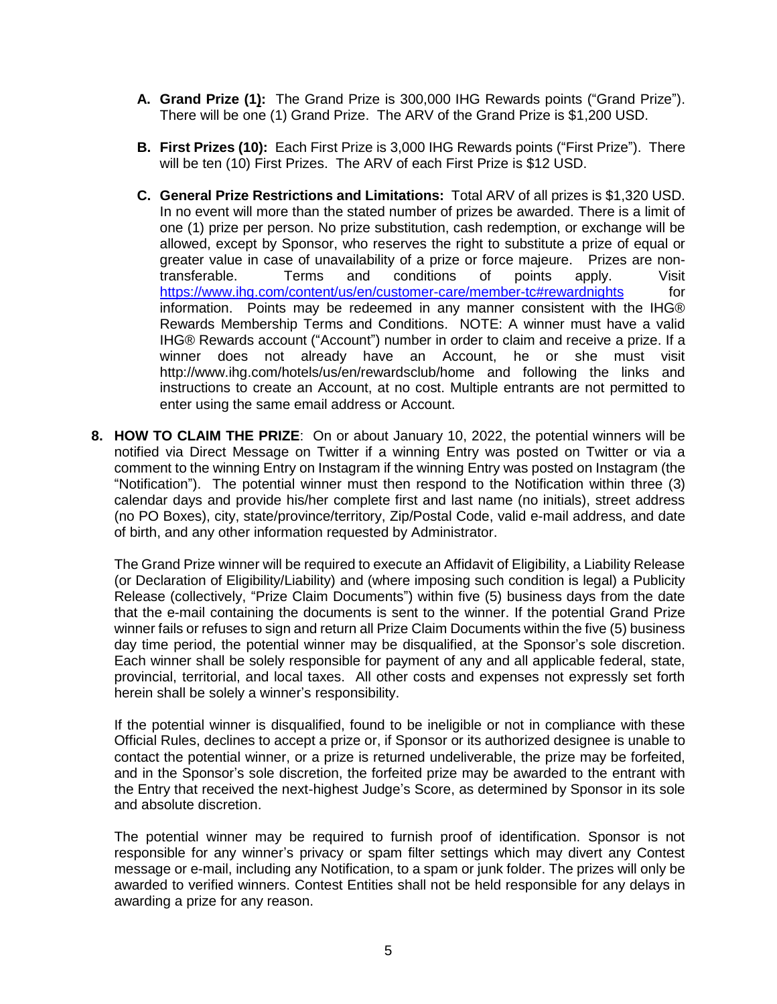- **A. Grand Prize (1):** The Grand Prize is 300,000 IHG Rewards points ("Grand Prize"). There will be one (1) Grand Prize. The ARV of the Grand Prize is \$1,200 USD.
- **B. First Prizes (10):** Each First Prize is 3,000 IHG Rewards points ("First Prize"). There will be ten (10) First Prizes. The ARV of each First Prize is \$12 USD.
- **C. General Prize Restrictions and Limitations:** Total ARV of all prizes is \$1,320 USD. In no event will more than the stated number of prizes be awarded. There is a limit of one (1) prize per person. No prize substitution, cash redemption, or exchange will be allowed, except by Sponsor, who reserves the right to substitute a prize of equal or greater value in case of unavailability of a prize or force majeure. Prizes are nontransferable. Terms and conditions of points apply. Visit <https://www.ihg.com/content/us/en/customer-care/member-tc#rewardnights> for information. Points may be redeemed in any manner consistent with the IHG® Rewards Membership Terms and Conditions.NOTE: A winner must have a valid IHG® Rewards account ("Account") number in order to claim and receive a prize. If a winner does not already have an Account, he or she must visit http://www.ihg.com/hotels/us/en/rewardsclub/home and following the links and instructions to create an Account, at no cost. Multiple entrants are not permitted to enter using the same email address or Account.
- **8. HOW TO CLAIM THE PRIZE**: On or about January 10, 2022, the potential winners will be notified via Direct Message on Twitter if a winning Entry was posted on Twitter or via a comment to the winning Entry on Instagram if the winning Entry was posted on Instagram (the "Notification"). The potential winner must then respond to the Notification within three (3) calendar days and provide his/her complete first and last name (no initials), street address (no PO Boxes), city, state/province/territory, Zip/Postal Code, valid e-mail address, and date of birth, and any other information requested by Administrator.

The Grand Prize winner will be required to execute an Affidavit of Eligibility, a Liability Release (or Declaration of Eligibility/Liability) and (where imposing such condition is legal) a Publicity Release (collectively, "Prize Claim Documents") within five (5) business days from the date that the e-mail containing the documents is sent to the winner. If the potential Grand Prize winner fails or refuses to sign and return all Prize Claim Documents within the five (5) business day time period, the potential winner may be disqualified, at the Sponsor's sole discretion. Each winner shall be solely responsible for payment of any and all applicable federal, state, provincial, territorial, and local taxes. All other costs and expenses not expressly set forth herein shall be solely a winner's responsibility.

If the potential winner is disqualified, found to be ineligible or not in compliance with these Official Rules, declines to accept a prize or, if Sponsor or its authorized designee is unable to contact the potential winner, or a prize is returned undeliverable, the prize may be forfeited, and in the Sponsor's sole discretion, the forfeited prize may be awarded to the entrant with the Entry that received the next-highest Judge's Score, as determined by Sponsor in its sole and absolute discretion.

The potential winner may be required to furnish proof of identification. Sponsor is not responsible for any winner's privacy or spam filter settings which may divert any Contest message or e-mail, including any Notification, to a spam or junk folder. The prizes will only be awarded to verified winners. Contest Entities shall not be held responsible for any delays in awarding a prize for any reason.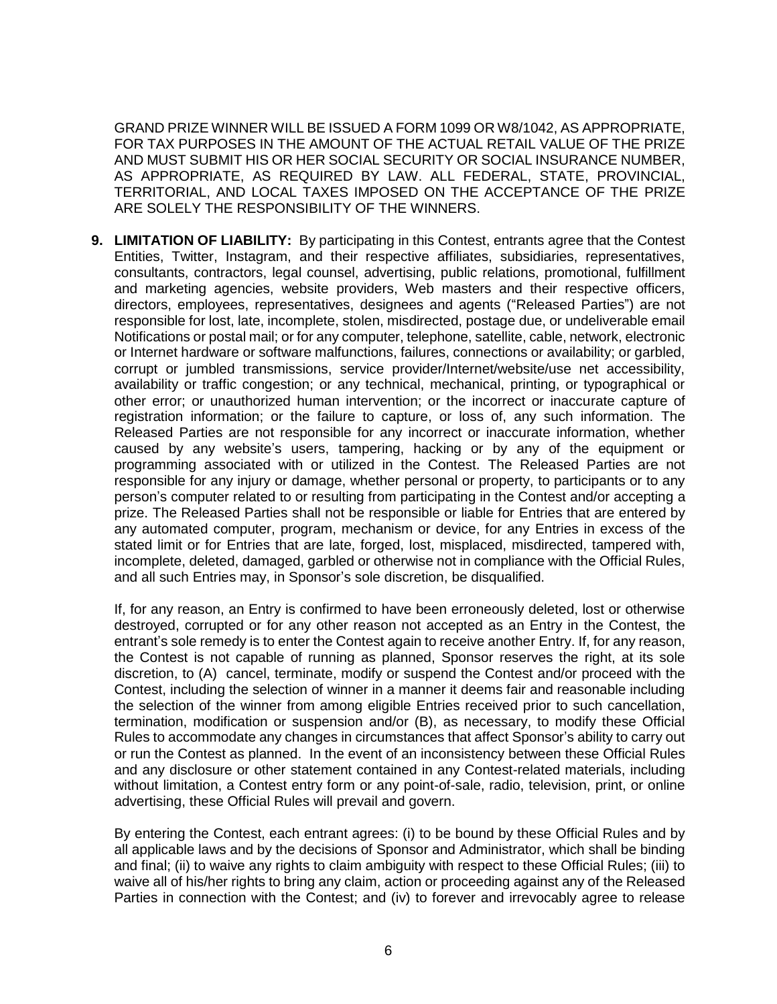GRAND PRIZE WINNER WILL BE ISSUED A FORM 1099 OR W8/1042, AS APPROPRIATE, FOR TAX PURPOSES IN THE AMOUNT OF THE ACTUAL RETAIL VALUE OF THE PRIZE AND MUST SUBMIT HIS OR HER SOCIAL SECURITY OR SOCIAL INSURANCE NUMBER, AS APPROPRIATE, AS REQUIRED BY LAW. ALL FEDERAL, STATE, PROVINCIAL, TERRITORIAL, AND LOCAL TAXES IMPOSED ON THE ACCEPTANCE OF THE PRIZE ARE SOLELY THE RESPONSIBILITY OF THE WINNERS.

**9. LIMITATION OF LIABILITY:** By participating in this Contest, entrants agree that the Contest Entities, Twitter, Instagram, and their respective affiliates, subsidiaries, representatives, consultants, contractors, legal counsel, advertising, public relations, promotional, fulfillment and marketing agencies, website providers, Web masters and their respective officers, directors, employees, representatives, designees and agents ("Released Parties") are not responsible for lost, late, incomplete, stolen, misdirected, postage due, or undeliverable email Notifications or postal mail; or for any computer, telephone, satellite, cable, network, electronic or Internet hardware or software malfunctions, failures, connections or availability; or garbled, corrupt or jumbled transmissions, service provider/Internet/website/use net accessibility, availability or traffic congestion; or any technical, mechanical, printing, or typographical or other error; or unauthorized human intervention; or the incorrect or inaccurate capture of registration information; or the failure to capture, or loss of, any such information. The Released Parties are not responsible for any incorrect or inaccurate information, whether caused by any website's users, tampering, hacking or by any of the equipment or programming associated with or utilized in the Contest. The Released Parties are not responsible for any injury or damage, whether personal or property, to participants or to any person's computer related to or resulting from participating in the Contest and/or accepting a prize. The Released Parties shall not be responsible or liable for Entries that are entered by any automated computer, program, mechanism or device, for any Entries in excess of the stated limit or for Entries that are late, forged, lost, misplaced, misdirected, tampered with, incomplete, deleted, damaged, garbled or otherwise not in compliance with the Official Rules, and all such Entries may, in Sponsor's sole discretion, be disqualified.

If, for any reason, an Entry is confirmed to have been erroneously deleted, lost or otherwise destroyed, corrupted or for any other reason not accepted as an Entry in the Contest, the entrant's sole remedy is to enter the Contest again to receive another Entry. If, for any reason, the Contest is not capable of running as planned, Sponsor reserves the right, at its sole discretion, to (A) cancel, terminate, modify or suspend the Contest and/or proceed with the Contest, including the selection of winner in a manner it deems fair and reasonable including the selection of the winner from among eligible Entries received prior to such cancellation, termination, modification or suspension and/or (B), as necessary, to modify these Official Rules to accommodate any changes in circumstances that affect Sponsor's ability to carry out or run the Contest as planned. In the event of an inconsistency between these Official Rules and any disclosure or other statement contained in any Contest-related materials, including without limitation, a Contest entry form or any point-of-sale, radio, television, print, or online advertising, these Official Rules will prevail and govern.

By entering the Contest, each entrant agrees: (i) to be bound by these Official Rules and by all applicable laws and by the decisions of Sponsor and Administrator, which shall be binding and final; (ii) to waive any rights to claim ambiguity with respect to these Official Rules; (iii) to waive all of his/her rights to bring any claim, action or proceeding against any of the Released Parties in connection with the Contest; and (iv) to forever and irrevocably agree to release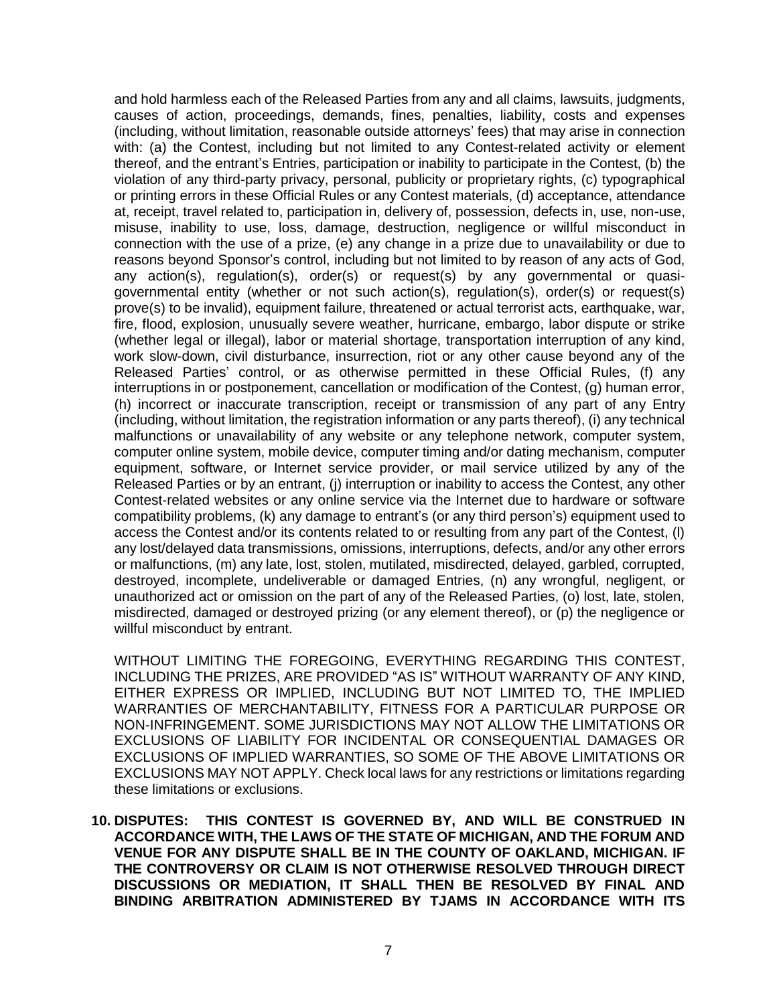and hold harmless each of the Released Parties from any and all claims, lawsuits, judgments, causes of action, proceedings, demands, fines, penalties, liability, costs and expenses (including, without limitation, reasonable outside attorneys' fees) that may arise in connection with: (a) the Contest, including but not limited to any Contest-related activity or element thereof, and the entrant's Entries, participation or inability to participate in the Contest, (b) the violation of any third-party privacy, personal, publicity or proprietary rights, (c) typographical or printing errors in these Official Rules or any Contest materials, (d) acceptance, attendance at, receipt, travel related to, participation in, delivery of, possession, defects in, use, non-use, misuse, inability to use, loss, damage, destruction, negligence or willful misconduct in connection with the use of a prize, (e) any change in a prize due to unavailability or due to reasons beyond Sponsor's control, including but not limited to by reason of any acts of God, any action(s), regulation(s), order(s) or request(s) by any governmental or quasigovernmental entity (whether or not such action(s), regulation(s), order(s) or request(s) prove(s) to be invalid), equipment failure, threatened or actual terrorist acts, earthquake, war, fire, flood, explosion, unusually severe weather, hurricane, embargo, labor dispute or strike (whether legal or illegal), labor or material shortage, transportation interruption of any kind, work slow-down, civil disturbance, insurrection, riot or any other cause beyond any of the Released Parties' control, or as otherwise permitted in these Official Rules, (f) any interruptions in or postponement, cancellation or modification of the Contest, (g) human error, (h) incorrect or inaccurate transcription, receipt or transmission of any part of any Entry (including, without limitation, the registration information or any parts thereof), (i) any technical malfunctions or unavailability of any website or any telephone network, computer system, computer online system, mobile device, computer timing and/or dating mechanism, computer equipment, software, or Internet service provider, or mail service utilized by any of the Released Parties or by an entrant, (j) interruption or inability to access the Contest, any other Contest-related websites or any online service via the Internet due to hardware or software compatibility problems, (k) any damage to entrant's (or any third person's) equipment used to access the Contest and/or its contents related to or resulting from any part of the Contest, (l) any lost/delayed data transmissions, omissions, interruptions, defects, and/or any other errors or malfunctions, (m) any late, lost, stolen, mutilated, misdirected, delayed, garbled, corrupted, destroyed, incomplete, undeliverable or damaged Entries, (n) any wrongful, negligent, or unauthorized act or omission on the part of any of the Released Parties, (o) lost, late, stolen, misdirected, damaged or destroyed prizing (or any element thereof), or (p) the negligence or willful misconduct by entrant.

WITHOUT LIMITING THE FOREGOING, EVERYTHING REGARDING THIS CONTEST, INCLUDING THE PRIZES, ARE PROVIDED "AS IS" WITHOUT WARRANTY OF ANY KIND, EITHER EXPRESS OR IMPLIED, INCLUDING BUT NOT LIMITED TO, THE IMPLIED WARRANTIES OF MERCHANTABILITY, FITNESS FOR A PARTICULAR PURPOSE OR NON-INFRINGEMENT. SOME JURISDICTIONS MAY NOT ALLOW THE LIMITATIONS OR EXCLUSIONS OF LIABILITY FOR INCIDENTAL OR CONSEQUENTIAL DAMAGES OR EXCLUSIONS OF IMPLIED WARRANTIES, SO SOME OF THE ABOVE LIMITATIONS OR EXCLUSIONS MAY NOT APPLY. Check local laws for any restrictions or limitations regarding these limitations or exclusions.

**10. DISPUTES: THIS CONTEST IS GOVERNED BY, AND WILL BE CONSTRUED IN ACCORDANCE WITH, THE LAWS OF THE STATE OF MICHIGAN, AND THE FORUM AND VENUE FOR ANY DISPUTE SHALL BE IN THE COUNTY OF OAKLAND, MICHIGAN. IF THE CONTROVERSY OR CLAIM IS NOT OTHERWISE RESOLVED THROUGH DIRECT DISCUSSIONS OR MEDIATION, IT SHALL THEN BE RESOLVED BY FINAL AND BINDING ARBITRATION ADMINISTERED BY TJAMS IN ACCORDANCE WITH ITS**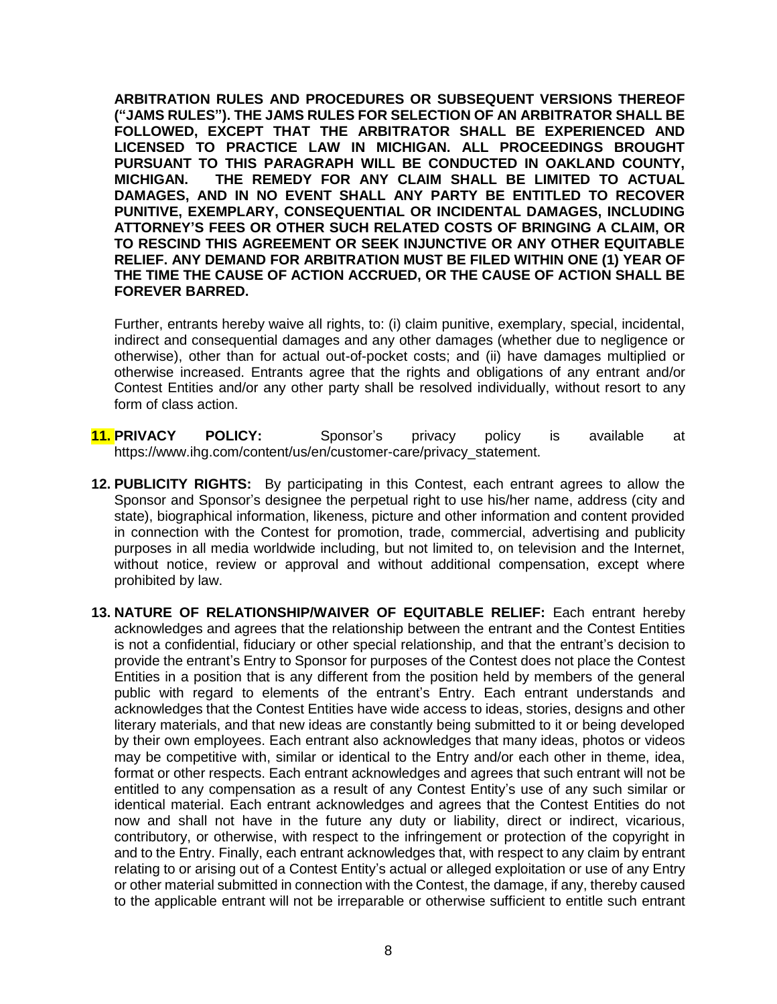**ARBITRATION RULES AND PROCEDURES OR SUBSEQUENT VERSIONS THEREOF ("JAMS RULES"). THE JAMS RULES FOR SELECTION OF AN ARBITRATOR SHALL BE FOLLOWED, EXCEPT THAT THE ARBITRATOR SHALL BE EXPERIENCED AND LICENSED TO PRACTICE LAW IN MICHIGAN. ALL PROCEEDINGS BROUGHT PURSUANT TO THIS PARAGRAPH WILL BE CONDUCTED IN OAKLAND COUNTY, MICHIGAN. THE REMEDY FOR ANY CLAIM SHALL BE LIMITED TO ACTUAL DAMAGES, AND IN NO EVENT SHALL ANY PARTY BE ENTITLED TO RECOVER PUNITIVE, EXEMPLARY, CONSEQUENTIAL OR INCIDENTAL DAMAGES, INCLUDING ATTORNEY'S FEES OR OTHER SUCH RELATED COSTS OF BRINGING A CLAIM, OR TO RESCIND THIS AGREEMENT OR SEEK INJUNCTIVE OR ANY OTHER EQUITABLE RELIEF. ANY DEMAND FOR ARBITRATION MUST BE FILED WITHIN ONE (1) YEAR OF THE TIME THE CAUSE OF ACTION ACCRUED, OR THE CAUSE OF ACTION SHALL BE FOREVER BARRED.**

Further, entrants hereby waive all rights, to: (i) claim punitive, exemplary, special, incidental, indirect and consequential damages and any other damages (whether due to negligence or otherwise), other than for actual out-of-pocket costs; and (ii) have damages multiplied or otherwise increased. Entrants agree that the rights and obligations of any entrant and/or Contest Entities and/or any other party shall be resolved individually, without resort to any form of class action.

- **11. PRIVACY POLICY:** Sponsor's privacy policy is available at https://www.ihg.com/content/us/en/customer-care/privacy\_statement.
- **12. PUBLICITY RIGHTS:** By participating in this Contest, each entrant agrees to allow the Sponsor and Sponsor's designee the perpetual right to use his/her name, address (city and state), biographical information, likeness, picture and other information and content provided in connection with the Contest for promotion, trade, commercial, advertising and publicity purposes in all media worldwide including, but not limited to, on television and the Internet, without notice, review or approval and without additional compensation, except where prohibited by law.
- **13. NATURE OF RELATIONSHIP/WAIVER OF EQUITABLE RELIEF:** Each entrant hereby acknowledges and agrees that the relationship between the entrant and the Contest Entities is not a confidential, fiduciary or other special relationship, and that the entrant's decision to provide the entrant's Entry to Sponsor for purposes of the Contest does not place the Contest Entities in a position that is any different from the position held by members of the general public with regard to elements of the entrant's Entry. Each entrant understands and acknowledges that the Contest Entities have wide access to ideas, stories, designs and other literary materials, and that new ideas are constantly being submitted to it or being developed by their own employees. Each entrant also acknowledges that many ideas, photos or videos may be competitive with, similar or identical to the Entry and/or each other in theme, idea, format or other respects. Each entrant acknowledges and agrees that such entrant will not be entitled to any compensation as a result of any Contest Entity's use of any such similar or identical material. Each entrant acknowledges and agrees that the Contest Entities do not now and shall not have in the future any duty or liability, direct or indirect, vicarious, contributory, or otherwise, with respect to the infringement or protection of the copyright in and to the Entry. Finally, each entrant acknowledges that, with respect to any claim by entrant relating to or arising out of a Contest Entity's actual or alleged exploitation or use of any Entry or other material submitted in connection with the Contest, the damage, if any, thereby caused to the applicable entrant will not be irreparable or otherwise sufficient to entitle such entrant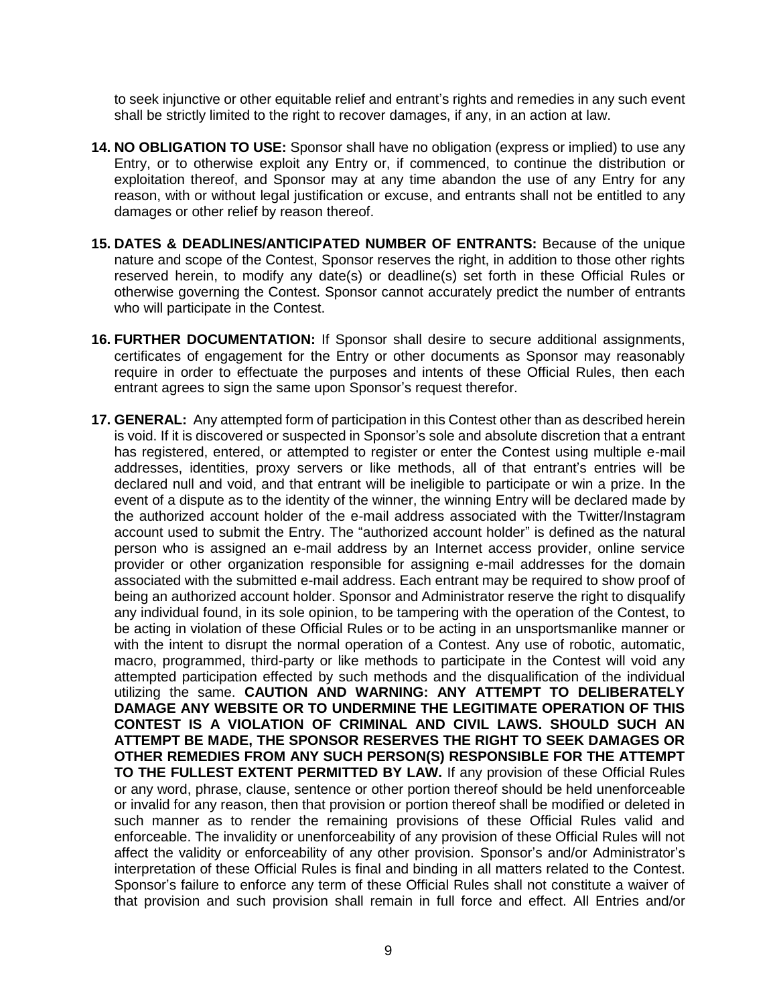to seek injunctive or other equitable relief and entrant's rights and remedies in any such event shall be strictly limited to the right to recover damages, if any, in an action at law.

- **14. NO OBLIGATION TO USE:** Sponsor shall have no obligation (express or implied) to use any Entry, or to otherwise exploit any Entry or, if commenced, to continue the distribution or exploitation thereof, and Sponsor may at any time abandon the use of any Entry for any reason, with or without legal justification or excuse, and entrants shall not be entitled to any damages or other relief by reason thereof.
- **15. DATES & DEADLINES/ANTICIPATED NUMBER OF ENTRANTS:** Because of the unique nature and scope of the Contest, Sponsor reserves the right, in addition to those other rights reserved herein, to modify any date(s) or deadline(s) set forth in these Official Rules or otherwise governing the Contest. Sponsor cannot accurately predict the number of entrants who will participate in the Contest.
- **16. FURTHER DOCUMENTATION:** If Sponsor shall desire to secure additional assignments, certificates of engagement for the Entry or other documents as Sponsor may reasonably require in order to effectuate the purposes and intents of these Official Rules, then each entrant agrees to sign the same upon Sponsor's request therefor.
- **17. GENERAL:** Any attempted form of participation in this Contest other than as described herein is void. If it is discovered or suspected in Sponsor's sole and absolute discretion that a entrant has registered, entered, or attempted to register or enter the Contest using multiple e-mail addresses, identities, proxy servers or like methods, all of that entrant's entries will be declared null and void, and that entrant will be ineligible to participate or win a prize. In the event of a dispute as to the identity of the winner, the winning Entry will be declared made by the authorized account holder of the e-mail address associated with the Twitter/Instagram account used to submit the Entry. The "authorized account holder" is defined as the natural person who is assigned an e-mail address by an Internet access provider, online service provider or other organization responsible for assigning e-mail addresses for the domain associated with the submitted e-mail address. Each entrant may be required to show proof of being an authorized account holder. Sponsor and Administrator reserve the right to disqualify any individual found, in its sole opinion, to be tampering with the operation of the Contest, to be acting in violation of these Official Rules or to be acting in an unsportsmanlike manner or with the intent to disrupt the normal operation of a Contest. Any use of robotic, automatic, macro, programmed, third-party or like methods to participate in the Contest will void any attempted participation effected by such methods and the disqualification of the individual utilizing the same. **CAUTION AND WARNING: ANY ATTEMPT TO DELIBERATELY DAMAGE ANY WEBSITE OR TO UNDERMINE THE LEGITIMATE OPERATION OF THIS CONTEST IS A VIOLATION OF CRIMINAL AND CIVIL LAWS. SHOULD SUCH AN ATTEMPT BE MADE, THE SPONSOR RESERVES THE RIGHT TO SEEK DAMAGES OR OTHER REMEDIES FROM ANY SUCH PERSON(S) RESPONSIBLE FOR THE ATTEMPT TO THE FULLEST EXTENT PERMITTED BY LAW.** If any provision of these Official Rules or any word, phrase, clause, sentence or other portion thereof should be held unenforceable or invalid for any reason, then that provision or portion thereof shall be modified or deleted in such manner as to render the remaining provisions of these Official Rules valid and enforceable. The invalidity or unenforceability of any provision of these Official Rules will not affect the validity or enforceability of any other provision. Sponsor's and/or Administrator's interpretation of these Official Rules is final and binding in all matters related to the Contest. Sponsor's failure to enforce any term of these Official Rules shall not constitute a waiver of that provision and such provision shall remain in full force and effect. All Entries and/or